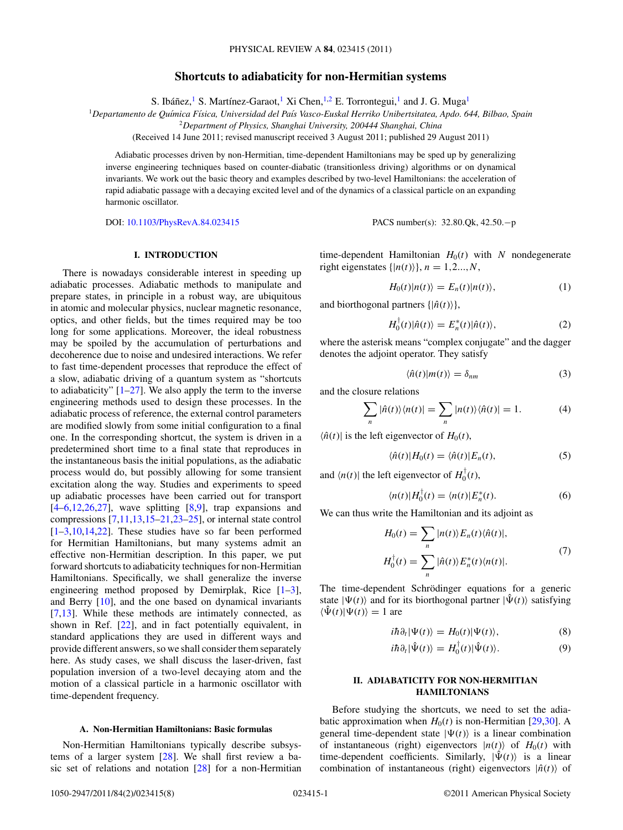# **Shortcuts to adiabaticity for non-Hermitian systems**

S. Ibáñez,<sup>1</sup> S. Martínez-Garaot,<sup>1</sup> Xi Chen,<sup>1,2</sup> E. Torrontegui,<sup>1</sup> and J. G. Muga<sup>1</sup>

<span id="page-0-0"></span><sup>1</sup>*Departamento de Qu´ımica F´ısica, Universidad del Pa´ıs Vasco-Euskal Herriko Unibertsitatea, Apdo. 644, Bilbao, Spain*

<sup>2</sup>*Department of Physics, Shanghai University, 200444 Shanghai, China*

(Received 14 June 2011; revised manuscript received 3 August 2011; published 29 August 2011)

Adiabatic processes driven by non-Hermitian, time-dependent Hamiltonians may be sped up by generalizing inverse engineering techniques based on counter-diabatic (transitionless driving) algorithms or on dynamical invariants. We work out the basic theory and examples described by two-level Hamiltonians: the acceleration of rapid adiabatic passage with a decaying excited level and of the dynamics of a classical particle on an expanding harmonic oscillator.

DOI: [10.1103/PhysRevA.84.023415](http://dx.doi.org/10.1103/PhysRevA.84.023415) PACS number(s): 32*.*80*.*Qk, 42*.*50*.*−p

# **I. INTRODUCTION**

There is nowadays considerable interest in speeding up adiabatic processes. Adiabatic methods to manipulate and prepare states, in principle in a robust way, are ubiquitous in atomic and molecular physics, nuclear magnetic resonance, optics, and other fields, but the times required may be too long for some applications. Moreover, the ideal robustness may be spoiled by the accumulation of perturbations and decoherence due to noise and undesired interactions. We refer to fast time-dependent processes that reproduce the effect of a slow, adiabatic driving of a quantum system as "shortcuts to adiabaticity"  $[1-27]$  $[1-27]$ . We also apply the term to the inverse engineering methods used to design these processes. In the adiabatic process of reference, the external control parameters are modified slowly from some initial configuration to a final one. In the corresponding shortcut, the system is driven in a predetermined short time to a final state that reproduces in the instantaneous basis the initial populations, as the adiabatic process would do, but possibly allowing for some transient excitation along the way. Studies and experiments to speed up adiabatic processes have been carried out for transport  $[4-6,12,26,27]$  $[4-6,12,26,27]$ , wave splitting  $[8,9]$ , trap expansions and compressions [\[7,11,13,15](#page-6-0)[–21,23–25\]](#page-7-0), or internal state control  $[1-3,10,14,22]$  $[1-3,10,14,22]$ . These studies have so far been performed for Hermitian Hamiltonians, but many systems admit an effective non-Hermitian description. In this paper, we put forward shortcuts to adiabaticity techniques for non-Hermitian Hamiltonians. Specifically, we shall generalize the inverse engineering method proposed by Demirplak, Rice [\[1–3\]](#page-6-0), and Berry [\[10\]](#page-6-0), and the one based on dynamical invariants [\[7,13\]](#page-6-0). While these methods are intimately connected, as shown in Ref. [\[22\]](#page-7-0), and in fact potentially equivalent, in standard applications they are used in different ways and provide different answers, so we shall consider them separately here. As study cases, we shall discuss the laser-driven, fast population inversion of a two-level decaying atom and the motion of a classical particle in a harmonic oscillator with time-dependent frequency.

### **A. Non-Hermitian Hamiltonians: Basic formulas**

Non-Hermitian Hamiltonians typically describe subsystems of a larger system [\[28\]](#page-7-0). We shall first review a basic set of relations and notation [\[28\]](#page-7-0) for a non-Hermitian time-dependent Hamiltonian  $H_0(t)$  with N nondegenerate right eigenstates  $\{|n(t)\rangle\}$ ,  $n = 1, 2, ..., N$ ,

$$
H_0(t)|n(t)\rangle = E_n(t)|n(t)\rangle, \qquad (1)
$$

and biorthogonal partners  $\{|\hat{n}(t)\rangle\}$ ,

$$
H_0^{\dagger}(t)|\hat{n}(t)\rangle = E_n^*(t)|\hat{n}(t)\rangle, \tag{2}
$$

where the asterisk means "complex conjugate" and the dagger denotes the adjoint operator. They satisfy

$$
\langle \hat{n}(t)|m(t)\rangle = \delta_{nm} \tag{3}
$$

and the closure relations

$$
\sum_{n} |\hat{n}(t)\rangle\langle n(t)| = \sum_{n} |n(t)\rangle\langle\hat{n}(t)| = 1.
$$
 (4)

 $\langle \hat{n}(t) |$  is the left eigenvector of  $H_0(t)$ ,

$$
\langle \hat{n}(t) | H_0(t) = \langle \hat{n}(t) | E_n(t), \tag{5}
$$

and  $\langle n(t) |$  the left eigenvector of  $H_0^{\dagger}(t)$ ,

$$
\langle n(t)|H_0^{\dagger}(t) = \langle n(t)|E_n^*(t). \tag{6}
$$

We can thus write the Hamiltonian and its adjoint as

$$
H_0(t) = \sum_n |n(t)\rangle E_n(t)\langle \hat{n}(t)|,
$$
  
\n
$$
H_0^{\dagger}(t) = \sum_n |\hat{n}(t)\rangle E_n^*(t)\langle n(t)|.
$$
\n(7)

The time-dependent Schrödinger equations for a generic state  $|\Psi(t)\rangle$  and for its biorthogonal partner  $|\hat{\Psi}(t)\rangle$  satisfying  $\langle \hat{\Psi}(t)|\Psi(t)\rangle = 1$  are

$$
i\hbar \partial_t |\Psi(t)\rangle = H_0(t) |\Psi(t)\rangle, \tag{8}
$$

$$
i\hbar \partial_t |\hat{\Psi}(t)\rangle = H_0^{\dagger}(t) |\hat{\Psi}(t)\rangle. \tag{9}
$$

# **II. ADIABATICITY FOR NON-HERMITIAN HAMILTONIANS**

Before studying the shortcuts, we need to set the adiabatic approximation when  $H_0(t)$  is non-Hermitian [\[29,30\]](#page-7-0). A general time-dependent state  $|\Psi(t)\rangle$  is a linear combination of instantaneous (right) eigenvectors  $|n(t)\rangle$  of  $H_0(t)$  with time-dependent coefficients. Similarly,  $|\hat{\Psi}(t)\rangle$  is a linear combination of instantaneous (right) eigenvectors  $|\hat{n}(t)\rangle$  of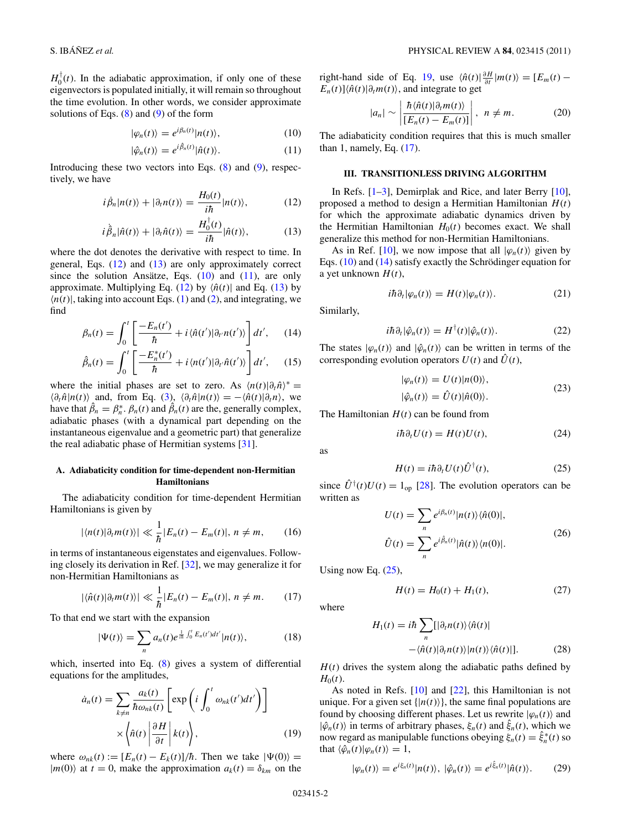<span id="page-1-0"></span> $H_0^{\dagger}(t)$ . In the adiabatic approximation, if only one of these eigenvectors is populated initially, it will remain so throughout the time evolution. In other words, we consider approximate solutions of Eqs.  $(8)$  and  $(9)$  of the form

$$
|\varphi_n(t)\rangle = e^{i\beta_n(t)}|n(t)\rangle, \qquad (10)
$$

$$
|\hat{\varphi}_n(t)\rangle = e^{i\hat{\beta}_n(t)}|\hat{n}(t)\rangle.
$$
 (11)

Introducing these two vectors into Eqs.  $(8)$  and  $(9)$ , respectively, we have

$$
i\dot{\beta}_n|n(t)\rangle + |\partial_t n(t)\rangle = \frac{H_0(t)}{i\hbar}|n(t)\rangle, \qquad (12)
$$

$$
i\dot{\hat{\beta}}_n|\hat{n}(t)\rangle + |\partial_t \hat{n}(t)\rangle = \frac{H_0^{\dagger}(t)}{i\hbar}|\hat{n}(t)\rangle, \tag{13}
$$

where the dot denotes the derivative with respect to time. In general, Eqs. (12) and (13) are only approximately correct since the solution Ansätze, Eqs.  $(10)$  and  $(11)$ , are only approximate. Multiplying Eq. (12) by  $\langle \hat{n}(t) |$  and Eq. (13) by  $\langle n(t) \rangle$ , taking into account Eqs. [\(1\)](#page-0-0) and [\(2\)](#page-0-0), and integrating, we find

$$
\beta_n(t) = \int_0^t \left[ \frac{-E_n(t')}{\hbar} + i \langle \hat{n}(t') | \partial_{t'} n(t') \rangle \right] dt', \quad (14)
$$

$$
\hat{\beta}_n(t) = \int_0^t \left[ \frac{-E_n^*(t')}{\hbar} + i \langle n(t') | \partial_{t'} \hat{n}(t') \rangle \right] dt', \quad (15)
$$

where the initial phases are set to zero. As  $\langle n(t)|\partial_t \hat{n}\rangle^*$  =  $\langle \partial_t \hat{n} | n(t) \rangle$  and, from Eq. [\(3\)](#page-0-0),  $\langle \partial_t \hat{n} | n(t) \rangle = -\langle \hat{n}(t) | \partial_t n \rangle$ , we have that  $\hat{\beta}_n = \beta_n^* \cdot \beta_n(t)$  and  $\hat{\beta}_n(t)$  are the, generally complex, adiabatic phases (with a dynamical part depending on the instantaneous eigenvalue and a geometric part) that generalize the real adiabatic phase of Hermitian systems [\[31\]](#page-7-0).

## **A. Adiabaticity condition for time-dependent non-Hermitian Hamiltonians**

The adiabaticity condition for time-dependent Hermitian Hamiltonians is given by

$$
|\langle n(t)|\partial_t m(t)\rangle| \ll \frac{1}{\hbar}|E_n(t) - E_m(t)|, n \neq m,
$$
 (16)

in terms of instantaneous eigenstates and eigenvalues. Following closely its derivation in Ref. [\[32\]](#page-7-0), we may generalize it for non-Hermitian Hamiltonians as

$$
|\langle \hat{n}(t)|\partial_t m(t)\rangle| \ll \frac{1}{\hbar}|E_n(t) - E_m(t)|, n \neq m. \qquad (17)
$$

To that end we start with the expansion

$$
|\Psi(t)\rangle = \sum_{n} a_n(t) e^{\frac{1}{i\hbar} \int_0^t E_n(t')dt'} |n(t)\rangle, \qquad (18)
$$

which, inserted into Eq. [\(8\)](#page-0-0) gives a system of differential equations for the amplitudes,

$$
\dot{a}_n(t) = \sum_{k \neq n} \frac{a_k(t)}{\hbar \omega_{nk}(t)} \left[ \exp\left(i \int_0^t \omega_{nk}(t') dt'\right) \right]
$$

$$
\times \left\langle \hat{n}(t) \left| \frac{\partial H}{\partial t} \right| k(t) \right\rangle, \tag{19}
$$

where  $\omega_{nk}(t) := [E_n(t) - E_k(t)]/\hbar$ . Then we take  $|\Psi(0)\rangle =$  $|m(0)\rangle$  at  $t = 0$ , make the approximation  $a_k(t) = \delta_{km}$  on the right-hand side of Eq. 19, use  $\langle \hat{n}(t)| \frac{\partial H}{\partial t} | m(t) \rangle = [E_m(t) E_n(t)$ ] $\langle \hat{n}(t) | \partial_t m(t) \rangle$ , and integrate to get

$$
|a_n| \sim \left| \frac{\hbar \langle \hat{n}(t) | \partial_t m(t) \rangle}{[E_n(t) - E_m(t)]} \right|, \ \ n \neq m. \tag{20}
$$

The adiabaticity condition requires that this is much smaller than 1, namely, Eq. (17).

## **III. TRANSITIONLESS DRIVING ALGORITHM**

In Refs. [\[1–3\]](#page-6-0), Demirplak and Rice, and later Berry [\[10\]](#page-6-0), proposed a method to design a Hermitian Hamiltonian *H*(*t*) for which the approximate adiabatic dynamics driven by the Hermitian Hamiltonian  $H_0(t)$  becomes exact. We shall generalize this method for non-Hermitian Hamiltonians.

As in Ref. [\[10\]](#page-6-0), we now impose that all  $|\varphi_n(t)\rangle$  given by Eqs.  $(10)$  and  $(14)$  satisfy exactly the Schrödinger equation for a yet unknown  $H(t)$ ,

$$
i\hbar \partial_t |\varphi_n(t)\rangle = H(t)|\varphi_n(t)\rangle.
$$
 (21)

Similarly,

$$
i\hbar \partial_t |\hat{\varphi}_n(t)\rangle = H^{\dagger}(t)|\hat{\varphi}_n(t)\rangle. \tag{22}
$$

The states  $|\varphi_n(t)\rangle$  and  $|\hat{\varphi}_n(t)\rangle$  can be written in terms of the corresponding evolution operators  $U(t)$  and  $\hat{U}(t)$ ,

$$
|\varphi_n(t)\rangle = U(t)|n(0)\rangle,
$$
  

$$
|\hat{\varphi}_n(t)\rangle = \hat{U}(t)|\hat{n}(0)\rangle.
$$
 (23)

The Hamiltonian  $H(t)$  can be found from

$$
i\hbar \partial_t U(t) = H(t)U(t), \qquad (24)
$$

as

$$
H(t) = i\hbar \partial_t U(t) \hat{U}^\dagger(t), \tag{25}
$$

since  $\hat{U}^{\dagger}(t)U(t) = 1_{op}$  [\[28\]](#page-7-0). The evolution operators can be written as

$$
U(t) = \sum_{n} e^{i\beta_n(t)} |n(t)\rangle \langle \hat{n}(0)|,
$$
  

$$
\hat{U}(t) = \sum_{n} e^{i\hat{\beta}_n(t)} |\hat{n}(t)\rangle \langle n(0)|.
$$
 (26)

Using now Eq.  $(25)$ ,

$$
H(t) = H_0(t) + H_1(t),
$$
\n(27)

where

$$
H_1(t) = i\hbar \sum_n [|\partial_t n(t)\rangle \langle \hat{n}(t)|
$$
  
 
$$
- \langle \hat{n}(t)|\partial_t n(t)\rangle |n(t)\rangle \langle \hat{n}(t)|].
$$
 (28)

 $H(t)$  drives the system along the adiabatic paths defined by  $H_0(t)$ .

As noted in Refs. [\[10\]](#page-6-0) and [\[22\]](#page-7-0), this Hamiltonian is not unique. For a given set  $\{|n(t)\rangle\}$ , the same final populations are found by choosing different phases. Let us rewrite  $|\varphi_n(t)\rangle$  and  $|\hat{\varphi}_n(t)\rangle$  in terms of arbitrary phases,  $\xi_n(t)$  and  $\hat{\xi}_n(t)$ , which we now regard as manipulable functions obeying  $\xi_n(t) = \hat{\xi}_n^*(t)$  so that  $\langle \hat{\varphi}_n(t) | \varphi_n(t) \rangle = 1$ ,

$$
|\varphi_n(t)\rangle = e^{i\xi_n(t)}|n(t)\rangle, \, |\hat{\varphi}_n(t)\rangle = e^{i\xi_n(t)}|\hat{n}(t)\rangle. \qquad (29)
$$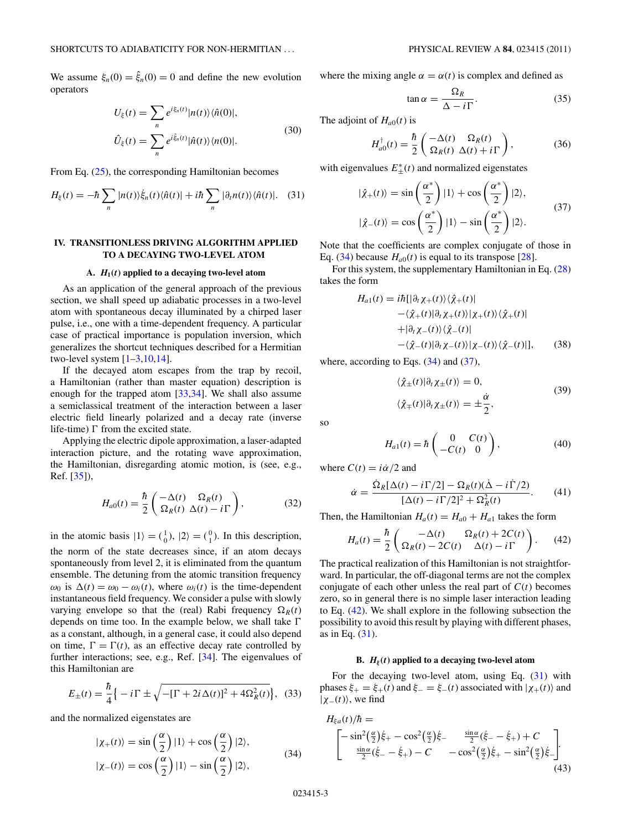<span id="page-2-0"></span>We assume  $\xi_n(0) = \hat{\xi}_n(0) = 0$  and define the new evolution operators

$$
U_{\xi}(t) = \sum_{n} e^{i\xi_{n}(t)} |n(t)\rangle \langle \hat{n}(0)|,
$$
  

$$
\hat{U}_{\xi}(t) = \sum_{n} e^{i\hat{\xi}_{n}(t)} |\hat{n}(t)\rangle \langle n(0)|.
$$
 (30)

From Eq. [\(25\)](#page-1-0), the corresponding Hamiltonian becomes

$$
H_{\xi}(t) = -\hbar \sum_{n} |n(t)\rangle \dot{\xi}_{n}(t) \langle \hat{n}(t)| + i\hbar \sum_{n} |\partial_{t} n(t)\rangle \langle \hat{n}(t)|. \quad (31)
$$

## **IV. TRANSITIONLESS DRIVING ALGORITHM APPLIED TO A DECAYING TWO-LEVEL ATOM**

#### **A.** *H***1(***t***) applied to a decaying two-level atom**

As an application of the general approach of the previous section, we shall speed up adiabatic processes in a two-level atom with spontaneous decay illuminated by a chirped laser pulse, i.e., one with a time-dependent frequency. A particular case of practical importance is population inversion, which generalizes the shortcut techniques described for a Hermitian two-level system  $[1-3,10,14]$ .

If the decayed atom escapes from the trap by recoil, a Hamiltonian (rather than master equation) description is enough for the trapped atom [\[33,34\]](#page-7-0). We shall also assume a semiclassical treatment of the interaction between a laser electric field linearly polarized and a decay rate (inverse life-time)  $\Gamma$  from the excited state.

Applying the electric dipole approximation, a laser-adapted interaction picture, and the rotating wave approximation, the Hamiltonian, disregarding atomic motion, is (see, e.g., Ref. [\[35\]](#page-7-0)),

$$
H_{a0}(t) = \frac{\hbar}{2} \left( \frac{-\Delta(t)}{\Omega_R(t)} \frac{\Omega_R(t)}{\Delta(t) - i\Gamma} \right), \tag{32}
$$

in the atomic basis  $|1\rangle = \begin{pmatrix} 1 \\ 0 \end{pmatrix}$ ,  $|2\rangle = \begin{pmatrix} 0 \\ 1 \end{pmatrix}$ . In this description, the norm of the state decreases since, if an atom decays spontaneously from level 2, it is eliminated from the quantum ensemble. The detuning from the atomic transition frequency  $ω_0$  is  $Δ(t) = ω_0 - ω_i(t)$ , where  $ω_i(t)$  is the time-dependent instantaneous field frequency. We consider a pulse with slowly varying envelope so that the (real) Rabi frequency  $\Omega_R(t)$ depends on time too. In the example below, we shall take  $\Gamma$ as a constant, although, in a general case, it could also depend on time,  $\Gamma = \Gamma(t)$ , as an effective decay rate controlled by further interactions; see, e.g., Ref. [\[34\]](#page-7-0). The eigenvalues of this Hamiltonian are

$$
E_{\pm}(t) = \frac{\hbar}{4} \left\{ -i\,\Gamma \pm \sqrt{-[\Gamma + 2i\,\Delta(t)]^2 + 4\Omega_R^2(t)} \right\},\tag{33}
$$

and the normalized eigenstates are

$$
|\chi_{+}(t)\rangle = \sin\left(\frac{\alpha}{2}\right)|1\rangle + \cos\left(\frac{\alpha}{2}\right)|2\rangle,
$$
  

$$
|\chi_{-}(t)\rangle = \cos\left(\frac{\alpha}{2}\right)|1\rangle - \sin\left(\frac{\alpha}{2}\right)|2\rangle,
$$
 (34)

where the mixing angle  $\alpha = \alpha(t)$  is complex and defined as

$$
\tan \alpha = \frac{\Omega_R}{\Delta - i\Gamma}.
$$
 (35)

The adjoint of  $H_{a0}(t)$  is

$$
H_{a0}^{\dagger}(t) = \frac{\hbar}{2} \begin{pmatrix} -\Delta(t) & \Omega_R(t) \\ \Omega_R(t) & \Delta(t) + i\Gamma \end{pmatrix},
$$
(36)

with eigenvalues  $E_{\pm}^*(t)$  and normalized eigenstates

$$
|\hat{\chi}_{+}(t)\rangle = \sin\left(\frac{\alpha^{*}}{2}\right)|1\rangle + \cos\left(\frac{\alpha^{*}}{2}\right)|2\rangle,
$$
  

$$
|\hat{\chi}_{-}(t)\rangle = \cos\left(\frac{\alpha^{*}}{2}\right)|1\rangle - \sin\left(\frac{\alpha^{*}}{2}\right)|2\rangle.
$$
 (37)

Note that the coefficients are complex conjugate of those in Eq. (34) because  $H_{a0}(t)$  is equal to its transpose [\[28\]](#page-7-0).

For this system, the supplementary Hamiltonian in Eq. [\(28\)](#page-1-0) takes the form

$$
H_{a1}(t) = i\hbar\left[\left|\partial_t \chi_+(t)\right\rangle\left\langle \hat{\chi}_+(t)\right|
$$

$$
-\left\langle \hat{\chi}_+(t)\right|\partial_t \chi_+(t)\right\rangle\left\langle \chi_+(t)\right|
$$

$$
+ \left|\partial_t \chi_-(t)\right\rangle\left\langle \hat{\chi}_-(t)\right|
$$

$$
-\left\langle \hat{\chi}_-(t)\right|\partial_t \chi_-(t)\right\rangle\left\langle \chi_-(t)\right\rangle\left\langle \hat{\chi}_-(t)\right|], \qquad (38)
$$

where, according to Eqs.  $(34)$  and  $(37)$ ,

$$
\langle \hat{\chi}_{\pm}(t)|\partial_t \chi_{\pm}(t)\rangle = 0,
$$
  

$$
\langle \hat{\chi}_{\mp}(t)|\partial_t \chi_{\pm}(t)\rangle = \pm \frac{\dot{\alpha}}{2},
$$
 (39)

so

$$
H_{a1}(t) = \hbar \begin{pmatrix} 0 & C(t) \\ -C(t) & 0 \end{pmatrix}, \tag{40}
$$

where  $C(t) = i\dot{\alpha}/2$  and

$$
\dot{\alpha} = \frac{\dot{\Omega}_R[\Delta(t) - i\Gamma/2] - \Omega_R(t)(\dot{\Delta} - i\dot{\Gamma}/2)}{[\Delta(t) - i\Gamma/2]^2 + \Omega_R^2(t)}.
$$
 (41)

Then, the Hamiltonian  $H_a(t) = H_{a0} + H_{a1}$  takes the form

$$
H_a(t) = \frac{\hbar}{2} \begin{pmatrix} -\Delta(t) & \Omega_R(t) + 2C(t) \\ \Omega_R(t) - 2C(t) & \Delta(t) - i\Gamma \end{pmatrix}.
$$
 (42)

The practical realization of this Hamiltonian is not straightforward. In particular, the off-diagonal terms are not the complex conjugate of each other unless the real part of  $C(t)$  becomes zero, so in general there is no simple laser interaction leading to Eq. (42). We shall explore in the following subsection the possibility to avoid this result by playing with different phases, as in Eq. (31).

#### **B.**  $H_{\xi}(t)$  applied to a decaying two-level atom

For the decaying two-level atom, using Eq. (31) with phases  $\xi_+ = \xi_+(t)$  and  $\xi_- = \xi_-(t)$  associated with  $|\chi_+(t)\rangle$  and  $|\chi_-(t)\rangle$ , we find

$$
H_{\xi a}(t)/\hbar =
$$
\n
$$
\begin{bmatrix}\n-\sin^2(\frac{\alpha}{2})\dot{\xi}_+ - \cos^2(\frac{\alpha}{2})\dot{\xi}_- & \frac{\sin\alpha}{2}(\dot{\xi}_- - \dot{\xi}_+) + C \\
\frac{\sin\alpha}{2}(\dot{\xi}_- - \dot{\xi}_+) - C & -\cos^2(\frac{\alpha}{2})\dot{\xi}_+ - \sin^2(\frac{\alpha}{2})\dot{\xi}_-\n\end{bmatrix}.
$$
\n(43)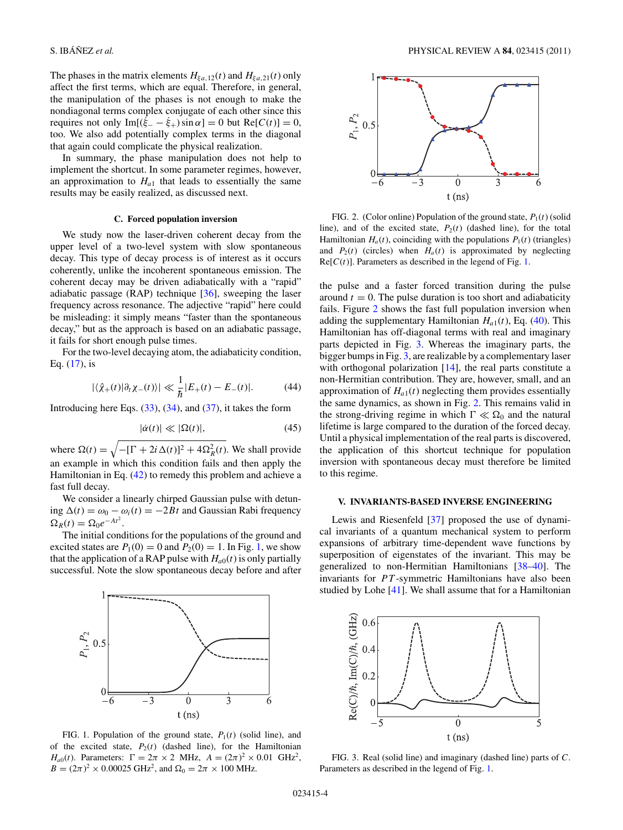The phases in the matrix elements  $H_{\xi a,12}(t)$  and  $H_{\xi a,21}(t)$  only affect the first terms, which are equal. Therefore, in general, the manipulation of the phases is not enough to make the nondiagonal terms complex conjugate of each other since this requires not only  $Im[(\dot{\xi}_- - \dot{\xi}_+) \sin \alpha] = 0$  but  $Re[C(t)] = 0$ , too. We also add potentially complex terms in the diagonal that again could complicate the physical realization.

In summary, the phase manipulation does not help to implement the shortcut. In some parameter regimes, however, an approximation to  $H<sub>a1</sub>$  that leads to essentially the same results may be easily realized, as discussed next.

### **C. Forced population inversion**

We study now the laser-driven coherent decay from the upper level of a two-level system with slow spontaneous decay. This type of decay process is of interest as it occurs coherently, unlike the incoherent spontaneous emission. The coherent decay may be driven adiabatically with a "rapid" adiabatic passage  $(RAP)$  technique  $[36]$ , sweeping the laser frequency across resonance. The adjective "rapid" here could be misleading: it simply means "faster than the spontaneous decay," but as the approach is based on an adiabatic passage, it fails for short enough pulse times.

For the two-level decaying atom, the adiabaticity condition, Eq.  $(17)$ , is

$$
|\langle \hat{\chi}_+(t)|\partial_t \chi_-(t)\rangle| \ll \frac{1}{\hbar} |E_+(t) - E_-(t)|. \tag{44}
$$

Introducing here Eqs.  $(33)$ ,  $(34)$ , and  $(37)$ , it takes the form

$$
|\dot{\alpha}(t)| \ll |\Omega(t)|,\tag{45}
$$

where  $\Omega(t) = \sqrt{-[\Gamma + 2i \Delta(t)]^2 + 4\Omega_R^2(t)}$ . We shall provide an example in which this condition fails and then apply the Hamiltonian in Eq. [\(42\)](#page-2-0) to remedy this problem and achieve a fast full decay.

We consider a linearly chirped Gaussian pulse with detuning (*t*) = *ω*<sup>0</sup> − *ωi*(*t*) = −2*Bt* and Gaussian Rabi frequency  $\Omega_R(t) = \Omega_0 e^{-At^2}.$ 

The initial conditions for the populations of the ground and excited states are  $P_1(0) = 0$  and  $P_2(0) = 1$ . In Fig. 1, we show that the application of a RAP pulse with  $H_{a0}(t)$  is only partially successful. Note the slow spontaneous decay before and after



FIG. 1. Population of the ground state,  $P_1(t)$  (solid line), and of the excited state,  $P_2(t)$  (dashed line), for the Hamiltonian *H<sub>a0</sub>*(*t*). Parameters:  $\Gamma = 2\pi \times 2$  MHz,  $A = (2\pi)^2 \times 0.01$  GHz<sup>2</sup>,  $B = (2\pi)^2 \times 0.00025 \text{ GHz}^2$ , and  $\Omega_0 = 2\pi \times 100 \text{ MHz}$ .



FIG. 2. (Color online) Population of the ground state,  $P_1(t)$  (solid line), and of the excited state,  $P_2(t)$  (dashed line), for the total Hamiltonian  $H_a(t)$ , coinciding with the populations  $P_1(t)$  (triangles) and  $P_2(t)$  (circles) when  $H_a(t)$  is approximated by neglecting  $Re[C(t)]$ . Parameters as described in the legend of Fig. 1.

the pulse and a faster forced transition during the pulse around  $t = 0$ . The pulse duration is too short and adiabaticity fails. Figure 2 shows the fast full population inversion when adding the supplementary Hamiltonian  $H_{a1}(t)$ , Eq. [\(40\)](#page-2-0). This Hamiltonian has off-diagonal terms with real and imaginary parts depicted in Fig. 3. Whereas the imaginary parts, the bigger bumps in Fig. 3, are realizable by a complementary laser with orthogonal polarization [\[14\]](#page-6-0), the real parts constitute a non-Hermitian contribution. They are, however, small, and an approximation of  $H<sub>a1</sub>(t)$  neglecting them provides essentially the same dynamics, as shown in Fig. 2. This remains valid in the strong-driving regime in which  $\Gamma \ll \Omega_0$  and the natural lifetime is large compared to the duration of the forced decay. Until a physical implementation of the real parts is discovered, the application of this shortcut technique for population inversion with spontaneous decay must therefore be limited to this regime.

### **V. INVARIANTS-BASED INVERSE ENGINEERING**

Lewis and Riesenfeld [\[37\]](#page-7-0) proposed the use of dynamical invariants of a quantum mechanical system to perform expansions of arbitrary time-dependent wave functions by superposition of eigenstates of the invariant. This may be generalized to non-Hermitian Hamiltonians [\[38–40\]](#page-7-0). The invariants for *PT*-symmetric Hamiltonians have also been studied by Lohe [\[41\]](#page-7-0). We shall assume that for a Hamiltonian



FIG. 3. Real (solid line) and imaginary (dashed line) parts of *C*. Parameters as described in the legend of Fig. 1.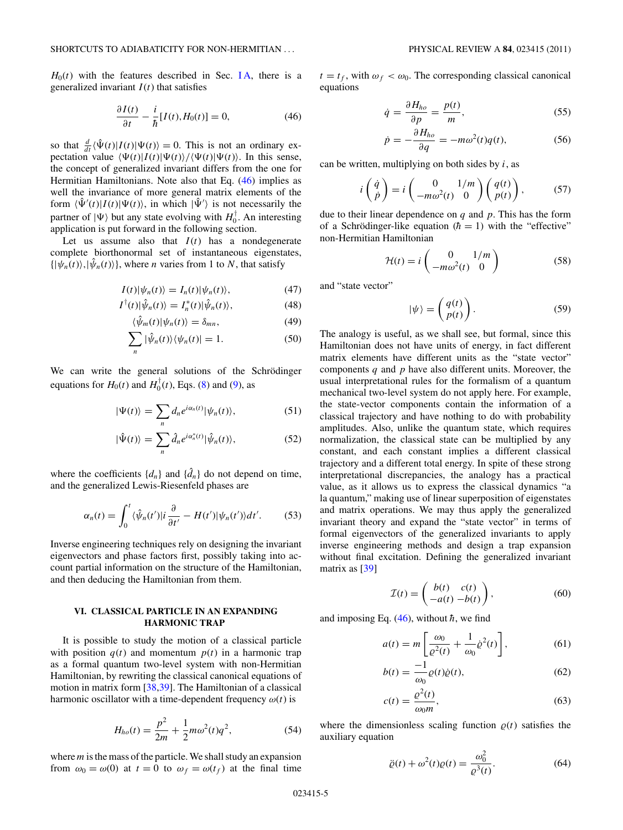<span id="page-4-0"></span> $H<sub>0</sub>(t)$  with the features described in Sec. IA, there is a generalized invariant  $I(t)$  that satisfies

$$
\frac{\partial I(t)}{\partial t} - \frac{i}{\hbar} [I(t), H_0(t)] = 0,\t(46)
$$

so that  $\frac{d}{dt} \langle \hat{\Psi}(t) | I(t) | \Psi(t) \rangle = 0$ . This is not an ordinary expectation value  $\langle \Psi(t) | I(t) | \Psi(t) \rangle / \langle \Psi(t) | \Psi(t) \rangle$ . In this sense, the concept of generalized invariant differs from the one for Hermitian Hamiltonians. Note also that Eq. (46) implies as well the invariance of more general matrix elements of the form  $\langle \hat{\Psi}'(t) | I(t) | \Psi(t) \rangle$ , in which  $| \hat{\Psi}' \rangle$  is not necessarily the partner of  $|\Psi\rangle$  but any state evolving with  $H_0^{\dagger}$ . An interesting application is put forward in the following section.

Let us assume also that  $I(t)$  has a nondegenerate complete biorthonormal set of instantaneous eigenstates,  $\{|\psi_n(t)\rangle, |\hat{\psi}_n(t)\rangle\}$ , where *n* varies from 1 to *N*, that satisfy

$$
I(t)|\psi_n(t)\rangle = I_n(t)|\psi_n(t)\rangle,
$$
\n(47)

$$
I^{\dagger}(t)|\hat{\psi}_n(t)\rangle = I_n^*(t)|\hat{\psi}_n(t)\rangle, \qquad (48)
$$

$$
\langle \hat{\psi}_m(t) | \psi_n(t) \rangle = \delta_{mn}, \qquad (49)
$$

$$
\sum_{n} |\hat{\psi}_n(t)\rangle \langle \psi_n(t)| = 1.
$$
 (50)

We can write the general solutions of the Schrödinger equations for  $H_0(t)$  and  $H_0^{\dagger}(t)$ , Eqs. [\(8\)](#page-0-0) and [\(9\)](#page-0-0), as

$$
|\Psi(t)\rangle = \sum_{n} d_n e^{i\alpha_n(t)} |\psi_n(t)\rangle, \qquad (51)
$$

$$
|\hat{\Psi}(t)\rangle = \sum_{n} \hat{d}_{n} e^{i\alpha_{n}^{*}(t)} |\hat{\psi}_{n}(t)\rangle, \qquad (52)
$$

where the coefficients  $\{d_n\}$  and  $\{\hat{d}_n\}$  do not depend on time, and the generalized Lewis-Riesenfeld phases are

$$
\alpha_n(t) = \int_0^t \langle \hat{\psi}_n(t') | i \frac{\partial}{\partial t'} - H(t') | \psi_n(t') \rangle dt'.
$$
 (53)

Inverse engineering techniques rely on designing the invariant eigenvectors and phase factors first, possibly taking into account partial information on the structure of the Hamiltonian, and then deducing the Hamiltonian from them.

# **VI. CLASSICAL PARTICLE IN AN EXPANDING HARMONIC TRAP**

It is possible to study the motion of a classical particle with position  $q(t)$  and momentum  $p(t)$  in a harmonic trap as a formal quantum two-level system with non-Hermitian Hamiltonian, by rewriting the classical canonical equations of motion in matrix form [\[38,39\]](#page-7-0). The Hamiltonian of a classical harmonic oscillator with a time-dependent frequency  $\omega(t)$  is

$$
H_{ho}(t) = \frac{p^2}{2m} + \frac{1}{2}m\omega^2(t)q^2,
$$
 (54)

where*m*is the mass of the particle. We shall study an expansion from  $\omega_0 = \omega(0)$  at  $t = 0$  to  $\omega_f = \omega(t_f)$  at the final time  $t = t_f$ , with  $\omega_f < \omega_0$ . The corresponding classical canonical equations

$$
\dot{q} = \frac{\partial H_{ho}}{\partial p} = \frac{p(t)}{m},\tag{55}
$$

$$
\dot{p} = -\frac{\partial H_{ho}}{\partial q} = -m\omega^2(t)q(t),\tag{56}
$$

can be written, multiplying on both sides by *i*, as

$$
i\begin{pmatrix} \dot{q} \\ \dot{p} \end{pmatrix} = i\begin{pmatrix} 0 & 1/m \\ -m\omega^2(t) & 0 \end{pmatrix} \begin{pmatrix} q(t) \\ p(t) \end{pmatrix}, \quad (57)
$$

due to their linear dependence on *q* and *p*. This has the form of a Schrödinger-like equation  $(h = 1)$  with the "effective" non-Hermitian Hamiltonian

$$
\mathcal{H}(t) = i \begin{pmatrix} 0 & 1/m \\ -m\omega^2(t) & 0 \end{pmatrix}
$$
 (58)

and "state vector"

$$
|\psi\rangle = \begin{pmatrix} q(t) \\ p(t) \end{pmatrix}.
$$
 (59)

The analogy is useful, as we shall see, but formal, since this Hamiltonian does not have units of energy, in fact different matrix elements have different units as the "state vector" components *q* and *p* have also different units. Moreover, the usual interpretational rules for the formalism of a quantum mechanical two-level system do not apply here. For example, the state-vector components contain the information of a classical trajectory and have nothing to do with probability amplitudes. Also, unlike the quantum state, which requires normalization, the classical state can be multiplied by any constant, and each constant implies a different classical trajectory and a different total energy. In spite of these strong interpretational discrepancies, the analogy has a practical value, as it allows us to express the classical dynamics "a la quantum," making use of linear superposition of eigenstates and matrix operations. We may thus apply the generalized invariant theory and expand the "state vector" in terms of formal eigenvectors of the generalized invariants to apply inverse engineering methods and design a trap expansion without final excitation. Defining the generalized invariant matrix as [\[39\]](#page-7-0)

$$
\mathcal{I}(t) = \begin{pmatrix} b(t) & c(t) \\ -a(t) & -b(t) \end{pmatrix},\tag{60}
$$

and imposing Eq.  $(46)$ , without  $\hbar$ , we find

$$
a(t) = m \left[ \frac{\omega_0}{\varrho^2(t)} + \frac{1}{\omega_0} \dot{\varrho}^2(t) \right],\tag{61}
$$

$$
b(t) = \frac{-1}{\omega_0} \varrho(t) \dot{\varrho}(t),\tag{62}
$$

$$
c(t) = \frac{\varrho^2(t)}{\omega_0 m},\tag{63}
$$

where the dimensionless scaling function  $\rho(t)$  satisfies the auxiliary equation

$$
\ddot{\varrho}(t) + \omega^2(t)\varrho(t) = \frac{\omega_0^2}{\varrho^3(t)}.
$$
\n(64)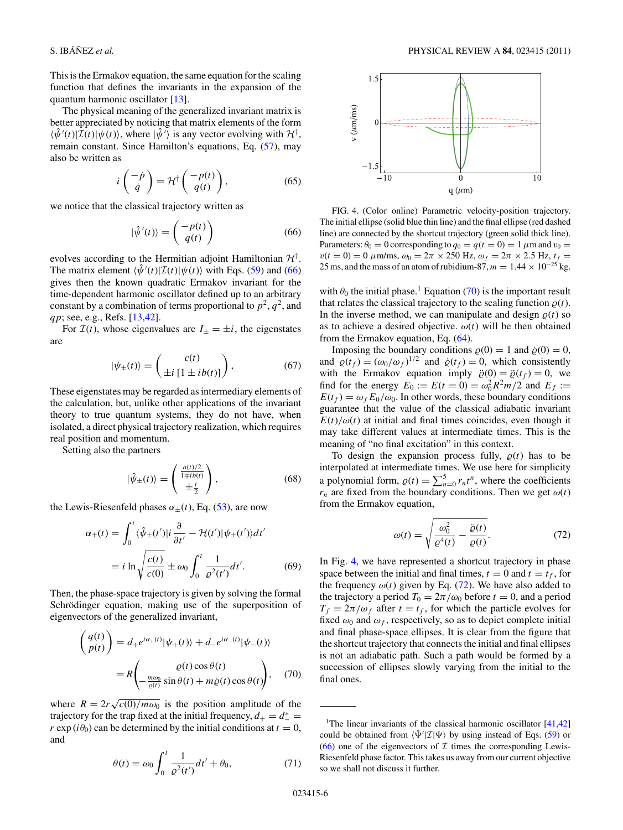This is the Ermakov equation, the same equation for the scaling function that defines the invariants in the expansion of the quantum harmonic oscillator [\[13\]](#page-6-0).

The physical meaning of the generalized invariant matrix is better appreciated by noticing that matrix elements of the form  $\langle \hat{\psi}'(t) | \hat{\mathcal{I}}(t) | \psi(t) \rangle$ , where  $|\hat{\psi}'\rangle$  is any vector evolving with  $\mathcal{H}^{\dagger}$ , remain constant. Since Hamilton's equations, Eq. [\(57\)](#page-4-0), may also be written as

$$
i\begin{pmatrix} -\dot{p} \\ \dot{q} \end{pmatrix} = \mathcal{H}^{\dagger} \begin{pmatrix} -p(t) \\ q(t) \end{pmatrix}, \tag{65}
$$

we notice that the classical trajectory written as

$$
|\hat{\psi}'(t)\rangle = \begin{pmatrix} -p(t) \\ q(t) \end{pmatrix}
$$
 (66)

evolves according to the Hermitian adjoint Hamiltonian  $\mathcal{H}^{\dagger}$ . The matrix element  $\langle \hat{\psi}'(t) | \mathcal{I}(t) | \psi(t) \rangle$  with Eqs. [\(59\)](#page-4-0) and (66) gives then the known quadratic Ermakov invariant for the time-dependent harmonic oscillator defined up to an arbitrary constant by a combination of terms proportional to  $p^2$ ,  $q^2$ , and *qp*; see, e.g., Refs. [\[13,](#page-6-0)[42\]](#page-7-0).

For  $\mathcal{I}(t)$ , whose eigenvalues are  $I_{\pm} = \pm i$ , the eigenstates are

$$
|\psi_{\pm}(t)\rangle = \begin{pmatrix} c(t) \\ \pm i \left[ 1 \pm ib(t) \right] \end{pmatrix},\tag{67}
$$

These eigenstates may be regarded as intermediary elements of the calculation, but, unlike other applications of the invariant theory to true quantum systems, they do not have, when isolated, a direct physical trajectory realization, which requires real position and momentum.

Setting also the partners

$$
|\hat{\psi}_{\pm}(t)\rangle = \begin{pmatrix} \frac{a(t)/2}{1 \mp ib(t)} \\ \pm \frac{i}{2} \end{pmatrix},\tag{68}
$$

the Lewis-Riesenfeld phases  $\alpha_{\pm}(t)$ , Eq. [\(53\)](#page-4-0), are now

$$
\alpha_{\pm}(t) = \int_0^t \langle \hat{\psi}_{\pm}(t') | i \frac{\partial}{\partial t'} - \mathcal{H}(t') | \psi_{\pm}(t') \rangle dt'
$$
  
=  $i \ln \sqrt{\frac{c(t)}{c(0)}} \pm \omega_0 \int_0^t \frac{1}{\varrho^2(t')} dt'.$  (69)

Then, the phase-space trajectory is given by solving the formal Schrödinger equation, making use of the superposition of eigenvectors of the generalized invariant,

$$
\begin{pmatrix} q(t) \\ p(t) \end{pmatrix} = d_{+}e^{i\alpha_{+}(t)}|\psi_{+}(t)\rangle + d_{-}e^{i\alpha_{-}(t)}|\psi_{-}(t)\rangle
$$

$$
= R \begin{pmatrix} \varrho(t)\cos\theta(t) \\ -\frac{m\omega_{0}}{\varrho(t)}\sin\theta(t) + m\dot{\varrho}(t)\cos\theta(t) \end{pmatrix}, \quad (70)
$$

where  $R = 2r\sqrt{c(0)/m\omega_0}$  is the position amplitude of the trajectory for the trap fixed at the initial frequency,  $d_{+} = d_{-}^{*} =$ *r* exp ( $i\theta_0$ ) can be determined by the initial conditions at  $t = 0$ , and

$$
\theta(t) = \omega_0 \int_0^t \frac{1}{\varrho^2(t')} dt' + \theta_0, \tag{71}
$$



FIG. 4. (Color online) Parametric velocity-position trajectory. The initial ellipse (solid blue thin line) and the final ellipse (red dashed line) are connected by the shortcut trajectory (green solid thick line). Parameters:  $\theta_0 = 0$  corresponding to  $q_0 = q(t = 0) = 1 \mu$ m and  $v_0 =$  $v(t = 0) = 0 \mu m/ms$ ,  $\omega_0 = 2\pi \times 250$  Hz,  $\omega_f = 2\pi \times 2.5$  Hz,  $t_f =$ 25 ms, and the mass of an atom of rubidium-87,  $m = 1.44 \times 10^{-25}$  kg.

with  $\theta_0$  the initial phase.<sup>1</sup> Equation (70) is the important result that relates the classical trajectory to the scaling function  $\rho(t)$ . In the inverse method, we can manipulate and design  $\rho(t)$  so as to achieve a desired objective.  $\omega(t)$  will be then obtained from the Ermakov equation, Eq. [\(64\)](#page-4-0).

Imposing the boundary conditions  $\rho(0) = 1$  and  $\dot{\rho}(0) = 0$ , and  $\varrho(t_f) = (\omega_0/\omega_f)^{1/2}$  and  $\dot{\varrho}(t_f) = 0$ , which consistently with the Ermakov equation imply  $\ddot{\varrho}(0) = \ddot{\varrho}(t_f) = 0$ , we find for the energy  $E_0 := E(t = 0) = \omega_0^2 R^2 m/2$  and  $E_f :=$  $E(t_f) = \omega_f E_0/\omega_0$ . In other words, these boundary conditions guarantee that the value of the classical adiabatic invariant  $E(t)/\omega(t)$  at initial and final times coincides, even though it may take different values at intermediate times. This is the meaning of "no final excitation" in this context.

To design the expansion process fully,  $\rho(t)$  has to be interpolated at intermediate times. We use here for simplicity a polynomial form,  $\rho(t) = \sum_{n=0}^{5} r_n t^n$ , where the coefficients  $r_n$  are fixed from the boundary conditions. Then we get  $\omega(t)$ from the Ermakov equation,

$$
\omega(t) = \sqrt{\frac{\omega_0^2}{\varrho^4(t)} - \frac{\ddot{\varrho}(t)}{\varrho(t)}}.\tag{72}
$$

In Fig. 4, we have represented a shortcut trajectory in phase space between the initial and final times,  $t = 0$  and  $t = t_f$ , for the frequency  $\omega(t)$  given by Eq. (72). We have also added to the trajectory a period  $T_0 = 2\pi/\omega_0$  before  $t = 0$ , and a period  $T_f = 2\pi/\omega_f$  after  $t = t_f$ , for which the particle evolves for fixed  $\omega_0$  and  $\omega_f$ , respectively, so as to depict complete initial and final phase-space ellipses. It is clear from the figure that the shortcut trajectory that connects the initial and final ellipses is not an adiabatic path. Such a path would be formed by a succession of ellipses slowly varying from the initial to the final ones.

<sup>&</sup>lt;sup>1</sup>The linear invariants of the classical harmonic oscillator  $[41,42]$ could be obtained from  $\langle \hat{\Psi}' | \mathcal{I} | \Psi \rangle$  by using instead of Eqs. [\(59\)](#page-4-0) or  $(66)$  one of the eigenvectors of  $\mathcal I$  times the corresponding Lewis-Riesenfeld phase factor. This takes us away from our current objective so we shall not discuss it further.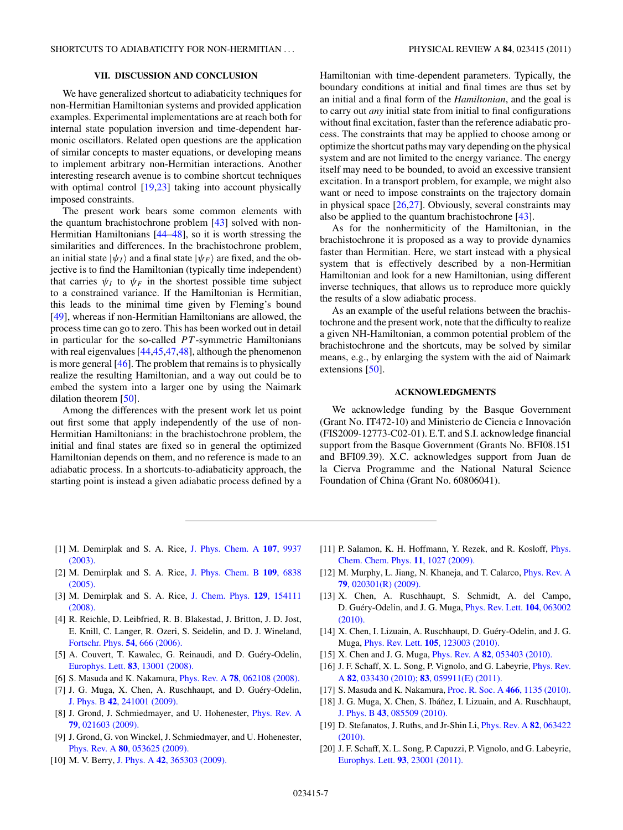## **VII. DISCUSSION AND CONCLUSION**

<span id="page-6-0"></span>We have generalized shortcut to adiabaticity techniques for non-Hermitian Hamiltonian systems and provided application examples. Experimental implementations are at reach both for internal state population inversion and time-dependent harmonic oscillators. Related open questions are the application of similar concepts to master equations, or developing means to implement arbitrary non-Hermitian interactions. Another interesting research avenue is to combine shortcut techniques with optimal control [19[,23\]](#page-7-0) taking into account physically imposed constraints.

The present work bears some common elements with the quantum brachistochrone problem [\[43\]](#page-7-0) solved with non-Hermitian Hamiltonians [\[44–48\]](#page-7-0), so it is worth stressing the similarities and differences. In the brachistochrone problem, an initial state  $|\psi_I\rangle$  and a final state  $|\psi_F\rangle$  are fixed, and the objective is to find the Hamiltonian (typically time independent) that carries  $\psi_I$  to  $\psi_F$  in the shortest possible time subject to a constrained variance. If the Hamiltonian is Hermitian, this leads to the minimal time given by Fleming's bound [\[49\]](#page-7-0), whereas if non-Hermitian Hamiltonians are allowed, the process time can go to zero. This has been worked out in detail in particular for the so-called *P T* -symmetric Hamiltonians with real eigenvalues [\[44,45,47,48\]](#page-7-0), although the phenomenon is more general [\[46\]](#page-7-0). The problem that remains is to physically realize the resulting Hamiltonian, and a way out could be to embed the system into a larger one by using the Naimark dilation theorem [\[50\]](#page-7-0).

Among the differences with the present work let us point out first some that apply independently of the use of non-Hermitian Hamiltonians: in the brachistochrone problem, the initial and final states are fixed so in general the optimized Hamiltonian depends on them, and no reference is made to an adiabatic process. In a shortcuts-to-adiabaticity approach, the starting point is instead a given adiabatic process defined by a

Hamiltonian with time-dependent parameters. Typically, the boundary conditions at initial and final times are thus set by an initial and a final form of the *Hamiltonian*, and the goal is to carry out *any* initial state from initial to final configurations without final excitation, faster than the reference adiabatic process. The constraints that may be applied to choose among or optimize the shortcut paths may vary depending on the physical system and are not limited to the energy variance. The energy itself may need to be bounded, to avoid an excessive transient excitation. In a transport problem, for example, we might also want or need to impose constraints on the trajectory domain in physical space [\[26,27\]](#page-7-0). Obviously, several constraints may also be applied to the quantum brachistochrone [\[43\]](#page-7-0).

As for the nonhermiticity of the Hamiltonian, in the brachistochrone it is proposed as a way to provide dynamics faster than Hermitian. Here, we start instead with a physical system that is effectively described by a non-Hermitian Hamiltonian and look for a new Hamiltonian, using different inverse techniques, that allows us to reproduce more quickly the results of a slow adiabatic process.

As an example of the useful relations between the brachistochrone and the present work, note that the difficulty to realize a given NH-Hamiltonian, a common potential problem of the brachistochrone and the shortcuts, may be solved by similar means, e.g., by enlarging the system with the aid of Naimark extensions [\[50\]](#page-7-0).

### **ACKNOWLEDGMENTS**

We acknowledge funding by the Basque Government (Grant No. IT472-10) and Ministerio de Ciencia e Innovacion´ (FIS2009-12773-C02-01). E.T. and S.I. acknowledge financial support from the Basque Government (Grants No. BFI08.151 and BFI09.39). X.C. acknowledges support from Juan de la Cierva Programme and the National Natural Science Foundation of China (Grant No. 60806041).

- [1] M. Demirplak and S. A. Rice, [J. Phys. Chem. A](http://dx.doi.org/10.1021/jp030708a) **107**, 9937 [\(2003\).](http://dx.doi.org/10.1021/jp030708a)
- [2] M. Demirplak and S. A. Rice, [J. Phys. Chem. B](http://dx.doi.org/10.1021/jp040647w) **109**, 6838 [\(2005\).](http://dx.doi.org/10.1021/jp040647w)
- [3] M. Demirplak and S. A. Rice, [J. Chem. Phys.](http://dx.doi.org/10.1063/1.2992152) **129**, 154111 [\(2008\).](http://dx.doi.org/10.1063/1.2992152)
- [4] R. Reichle, D. Leibfried, R. B. Blakestad, J. Britton, J. D. Jost, E. Knill, C. Langer, R. Ozeri, S. Seidelin, and D. J. Wineland, [Fortschr. Phys.](http://dx.doi.org/10.1002/prop.200610326) **54**, 666 (2006).
- [5] A. Couvert, T. Kawalec, G. Reinaudi, and D. Guéry-Odelin, [Europhys. Lett.](http://dx.doi.org/10.1209/0295-5075/83/13001) **83**, 13001 (2008).
- [6] S. Masuda and K. Nakamura, Phys. Rev. A **78**[, 062108 \(2008\).](http://dx.doi.org/10.1103/PhysRevA.78.062108)
- [7] J. G. Muga, X. Chen, A. Ruschhaupt, and D. Guéry-Odelin, J. Phys. B **42**[, 241001 \(2009\).](http://dx.doi.org/10.1088/0953-4075/42/24/241001)
- [8] J. Grond, J. Schmiedmayer, and U. Hohenester, [Phys. Rev. A](http://dx.doi.org/10.1103/PhysRevA.79.021603) **79**[, 021603 \(2009\).](http://dx.doi.org/10.1103/PhysRevA.79.021603)
- [9] J. Grond, G. von Winckel, J. Schmiedmayer, and U. Hohenester, Phys. Rev. A **80**[, 053625 \(2009\).](http://dx.doi.org/10.1103/PhysRevA.80.053625)
- [10] M. V. Berry, J. Phys. A **42**[, 365303 \(2009\).](http://dx.doi.org/10.1088/1751-8113/42/36/365303)
- [11] P. Salamon, K. H. Hoffmann, Y. Rezek, and R. Kosloff, *[Phys.](http://dx.doi.org/10.1039/b816102j)* [Chem. Chem. Phys.](http://dx.doi.org/10.1039/b816102j) **11**, 1027 (2009).
- [12] M. Murphy, L. Jiang, N. Khaneja, and T. Calarco, [Phys. Rev. A](http://dx.doi.org/10.1103/PhysRevA.79.020301) **79**[, 020301\(R\) \(2009\).](http://dx.doi.org/10.1103/PhysRevA.79.020301)
- [13] X. Chen, A. Ruschhaupt, S. Schmidt, A. del Campo, D. Guéry-Odelin, and J. G. Muga, [Phys. Rev. Lett.](http://dx.doi.org/10.1103/PhysRevLett.104.063002) **104**, 063002 [\(2010\).](http://dx.doi.org/10.1103/PhysRevLett.104.063002)
- [14] X. Chen, I. Lizuain, A. Ruschhaupt, D. Guéry-Odelin, and J. G. Muga, Phys. Rev. Lett. **105**[, 123003 \(2010\).](http://dx.doi.org/10.1103/PhysRevLett.105.123003)
- [15] X. Chen and J. G. Muga, Phys. Rev. A **82**[, 053403 \(2010\).](http://dx.doi.org/10.1103/PhysRevA.82.053403)
- [16] J. F. Schaff, X. L. Song, P. Vignolo, and G. Labeyrie, *[Phys. Rev.](http://dx.doi.org/10.1103/PhysRevA.82.033430)* A **82**[, 033430 \(2010\);](http://dx.doi.org/10.1103/PhysRevA.82.033430) **83**[, 059911\(E\) \(2011\).](http://dx.doi.org/10.1103/PhysRevA.83.059911)
- [17] S. Masuda and K. Nakamura, [Proc. R. Soc. A](http://dx.doi.org/10.1098/rspa.2009.0446) **466**, 1135 (2010).
- [18] J. G. Muga, X. Chen, S. Ibáñez, I. Lizuain, and A. Ruschhaupt, J. Phys. B **43**[, 085509 \(2010\).](http://dx.doi.org/10.1088/0953-4075/43/8/085509)
- [19] D. Stefanatos, J. Ruths, and Jr-Shin Li, [Phys. Rev. A](http://dx.doi.org/10.1103/PhysRevA.82.063422) **82**, 063422 [\(2010\).](http://dx.doi.org/10.1103/PhysRevA.82.063422)
- [20] J. F. Schaff, X. L. Song, P. Capuzzi, P. Vignolo, and G. Labeyrie, [Europhys. Lett.](http://dx.doi.org/10.1209/0295-5075/93/23001) **93**, 23001 (2011).